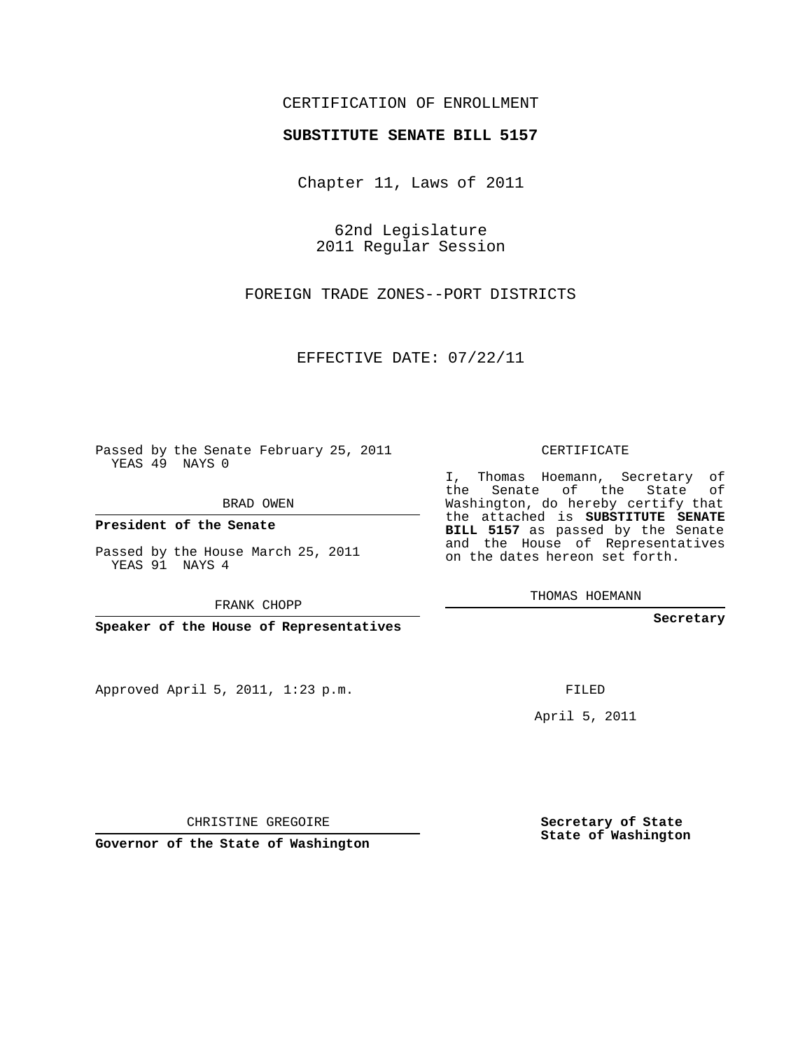## CERTIFICATION OF ENROLLMENT

## **SUBSTITUTE SENATE BILL 5157**

Chapter 11, Laws of 2011

62nd Legislature 2011 Regular Session

FOREIGN TRADE ZONES--PORT DISTRICTS

EFFECTIVE DATE: 07/22/11

Passed by the Senate February 25, 2011 YEAS 49 NAYS 0

BRAD OWEN

**President of the Senate**

Passed by the House March 25, 2011 YEAS 91 NAYS 4

FRANK CHOPP

**Speaker of the House of Representatives**

Approved April 5, 2011, 1:23 p.m.

CERTIFICATE

I, Thomas Hoemann, Secretary of the Senate of the State of Washington, do hereby certify that the attached is **SUBSTITUTE SENATE BILL 5157** as passed by the Senate and the House of Representatives on the dates hereon set forth.

THOMAS HOEMANN

**Secretary**

FILED

April 5, 2011

CHRISTINE GREGOIRE

**Governor of the State of Washington**

**Secretary of State State of Washington**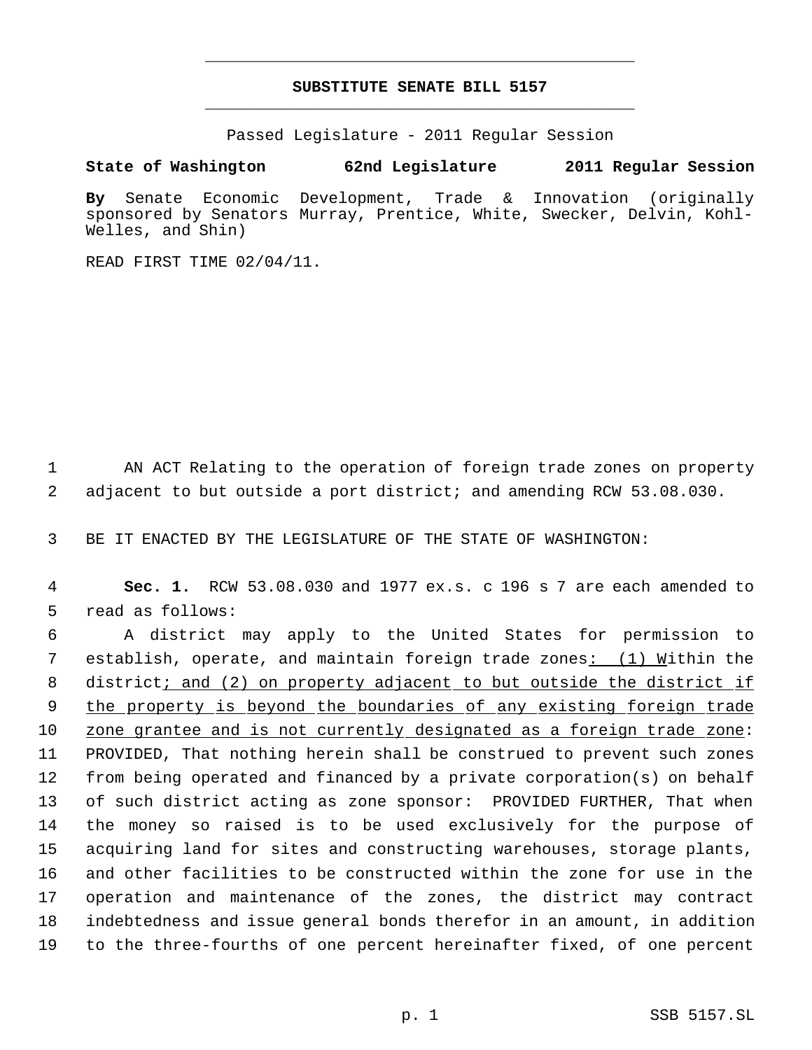## **SUBSTITUTE SENATE BILL 5157** \_\_\_\_\_\_\_\_\_\_\_\_\_\_\_\_\_\_\_\_\_\_\_\_\_\_\_\_\_\_\_\_\_\_\_\_\_\_\_\_\_\_\_\_\_

\_\_\_\_\_\_\_\_\_\_\_\_\_\_\_\_\_\_\_\_\_\_\_\_\_\_\_\_\_\_\_\_\_\_\_\_\_\_\_\_\_\_\_\_\_

Passed Legislature - 2011 Regular Session

## **State of Washington 62nd Legislature 2011 Regular Session**

**By** Senate Economic Development, Trade & Innovation (originally sponsored by Senators Murray, Prentice, White, Swecker, Delvin, Kohl-Welles, and Shin)

READ FIRST TIME 02/04/11.

 1 AN ACT Relating to the operation of foreign trade zones on property 2 adjacent to but outside a port district; and amending RCW 53.08.030.

3 BE IT ENACTED BY THE LEGISLATURE OF THE STATE OF WASHINGTON:

 4 **Sec. 1.** RCW 53.08.030 and 1977 ex.s. c 196 s 7 are each amended to 5 read as follows:

 A district may apply to the United States for permission to establish, operate, and maintain foreign trade zones: (1) Within the 8 district; and (2) on property adjacent to but outside the district if 9 the property is beyond the boundaries of any existing foreign trade zone grantee and is not currently designated as a foreign trade zone: PROVIDED, That nothing herein shall be construed to prevent such zones from being operated and financed by a private corporation(s) on behalf of such district acting as zone sponsor: PROVIDED FURTHER, That when the money so raised is to be used exclusively for the purpose of acquiring land for sites and constructing warehouses, storage plants, and other facilities to be constructed within the zone for use in the operation and maintenance of the zones, the district may contract indebtedness and issue general bonds therefor in an amount, in addition to the three-fourths of one percent hereinafter fixed, of one percent